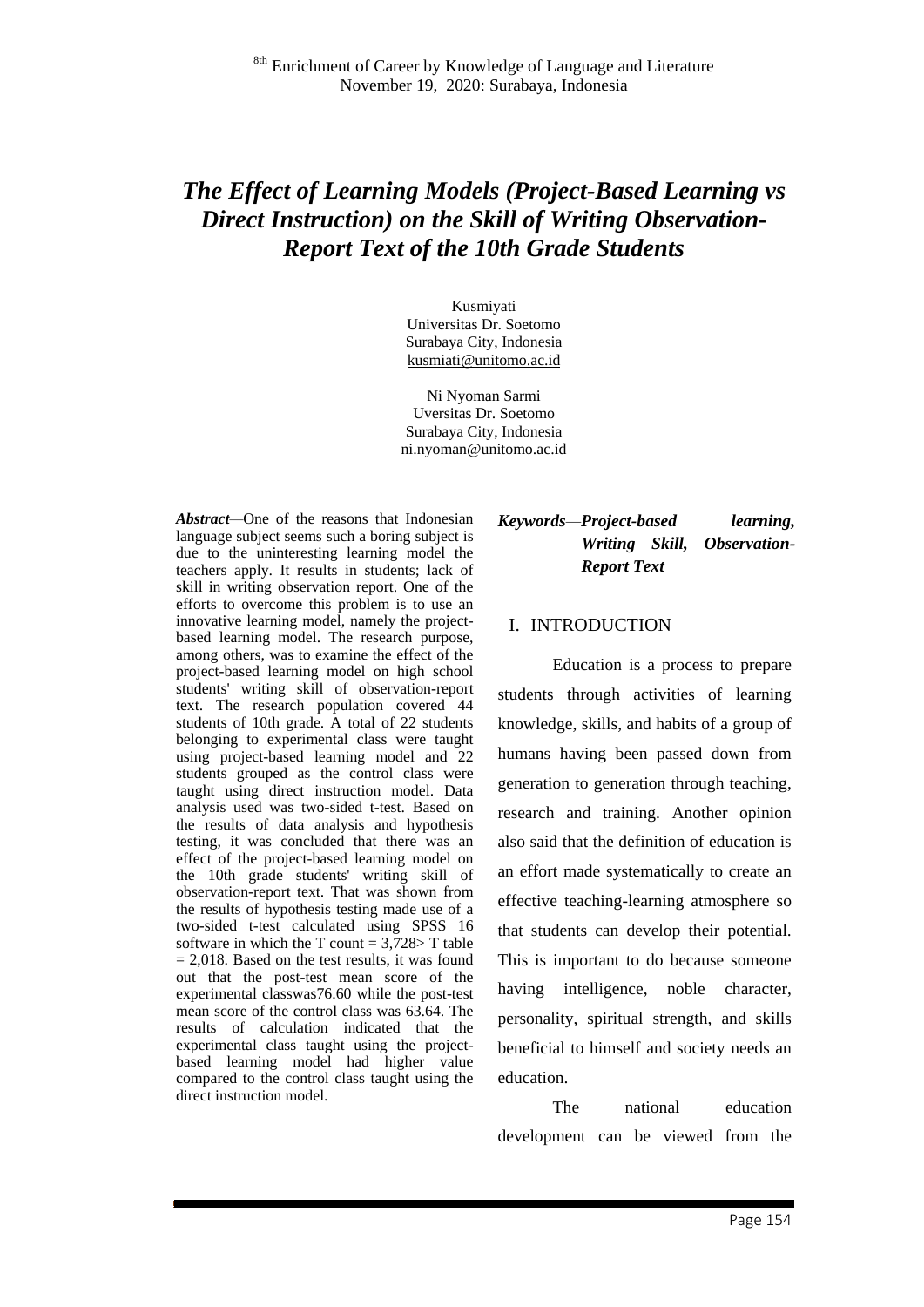# *The Effect of Learning Models (Project-Based Learning vs Direct Instruction) on the Skill of Writing Observation-Report Text of the 10th Grade Students*

Kusmiyati Universitas Dr. Soetomo Surabaya City, Indonesia [kusmiati@unitomo.ac.id](mailto:kusmiati@unitomo.ac.id)

Ni Nyoman Sarmi Uversitas Dr. Soetomo Surabaya City, Indonesia ni.nyoman@unitomo.ac.id

*Abstract—*One of the reasons that Indonesian language subject seems such a boring subject is due to the uninteresting learning model the teachers apply. It results in students; lack of skill in writing observation report. One of the efforts to overcome this problem is to use an innovative learning model, namely the projectbased learning model. The research purpose, among others, was to examine the effect of the project-based learning model on high school students' writing skill of observation-report text. The research population covered 44 students of 10th grade. A total of 22 students belonging to experimental class were taught using project-based learning model and 22 students grouped as the control class were taught using direct instruction model. Data analysis used was two-sided t-test. Based on the results of data analysis and hypothesis testing, it was concluded that there was an effect of the project-based learning model on the 10th grade students' writing skill of observation-report text. That was shown from the results of hypothesis testing made use of a two-sided t-test calculated using SPSS 16 software in which the T count =  $3,728$ > T table  $= 2,018$ . Based on the test results, it was found out that the post-test mean score of the experimental classwas76.60 while the post-test mean score of the control class was 63.64. The results of calculation indicated that the experimental class taught using the projectbased learning model had higher value compared to the control class taught using the direct instruction model.

## *Keywords—Project-based learning, Writing Skill, Observation-Report Text*

#### I. INTRODUCTION

Education is a process to prepare students through activities of learning knowledge, skills, and habits of a group of humans having been passed down from generation to generation through teaching, research and training. Another opinion also said that the definition of education is an effort made systematically to create an effective teaching-learning atmosphere so that students can develop their potential. This is important to do because someone having intelligence, noble character, personality, spiritual strength, and skills beneficial to himself and society needs an education.

The national education development can be viewed from the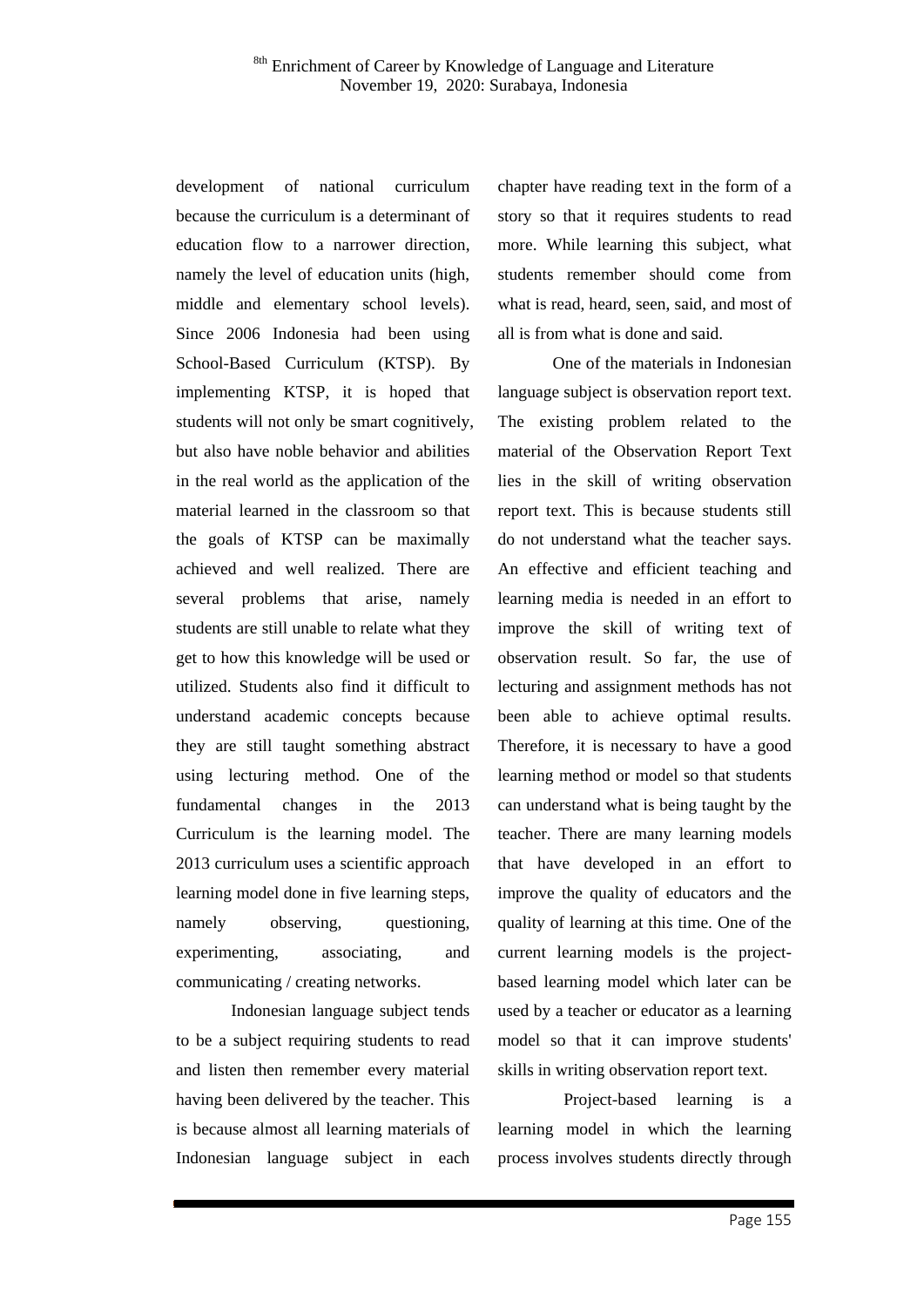development of national curriculum because the curriculum is a determinant of education flow to a narrower direction, namely the level of education units (high, middle and elementary school levels). Since 2006 Indonesia had been using School-Based Curriculum (KTSP). By implementing KTSP, it is hoped that students will not only be smart cognitively, but also have noble behavior and abilities in the real world as the application of the material learned in the classroom so that the goals of KTSP can be maximally achieved and well realized. There are several problems that arise, namely students are still unable to relate what they get to how this knowledge will be used or utilized. Students also find it difficult to understand academic concepts because they are still taught something abstract using lecturing method. One of the fundamental changes in the 2013 Curriculum is the learning model. The 2013 curriculum uses a scientific approach learning model done in five learning steps, namely observing, questioning, experimenting, associating, and communicating / creating networks.

Indonesian language subject tends to be a subject requiring students to read and listen then remember every material having been delivered by the teacher. This is because almost all learning materials of Indonesian language subject in each

chapter have reading text in the form of a story so that it requires students to read more. While learning this subject, what students remember should come from what is read, heard, seen, said, and most of all is from what is done and said.

One of the materials in Indonesian language subject is observation report text. The existing problem related to the material of the Observation Report Text lies in the skill of writing observation report text. This is because students still do not understand what the teacher says. An effective and efficient teaching and learning media is needed in an effort to improve the skill of writing text of observation result. So far, the use of lecturing and assignment methods has not been able to achieve optimal results. Therefore, it is necessary to have a good learning method or model so that students can understand what is being taught by the teacher. There are many learning models that have developed in an effort to improve the quality of educators and the quality of learning at this time. One of the current learning models is the projectbased learning model which later can be used by a teacher or educator as a learning model so that it can improve students' skills in writing observation report text.

Project-based learning is a learning model in which the learning process involves students directly through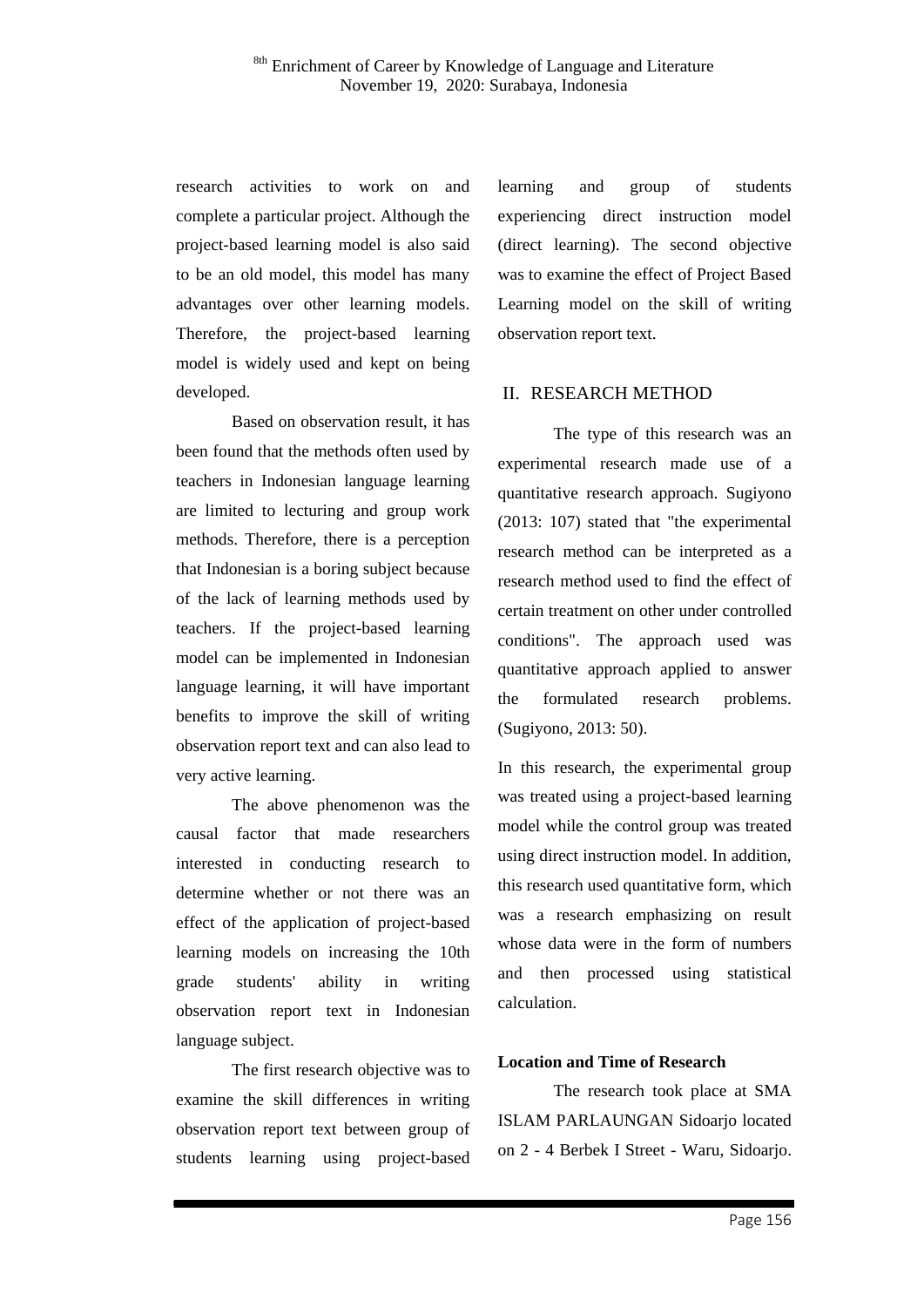research activities to work on and complete a particular project. Although the project-based learning model is also said to be an old model, this model has many advantages over other learning models. Therefore, the project-based learning model is widely used and kept on being developed.

Based on observation result, it has been found that the methods often used by teachers in Indonesian language learning are limited to lecturing and group work methods. Therefore, there is a perception that Indonesian is a boring subject because of the lack of learning methods used by teachers. If the project-based learning model can be implemented in Indonesian language learning, it will have important benefits to improve the skill of writing observation report text and can also lead to very active learning.

The above phenomenon was the causal factor that made researchers interested in conducting research to determine whether or not there was an effect of the application of project-based learning models on increasing the 10th grade students' ability in writing observation report text in Indonesian language subject.

The first research objective was to examine the skill differences in writing observation report text between group of students learning using project-based

learning and group of students experiencing direct instruction model (direct learning). The second objective was to examine the effect of Project Based Learning model on the skill of writing observation report text.

### II. RESEARCH METHOD

The type of this research was an experimental research made use of a quantitative research approach. Sugiyono (2013: 107) stated that "the experimental research method can be interpreted as a research method used to find the effect of certain treatment on other under controlled conditions". The approach used was quantitative approach applied to answer the formulated research problems. (Sugiyono, 2013: 50).

In this research, the experimental group was treated using a project-based learning model while the control group was treated using direct instruction model. In addition, this research used quantitative form, which was a research emphasizing on result whose data were in the form of numbers and then processed using statistical calculation.

#### **Location and Time of Research**

The research took place at SMA ISLAM PARLAUNGAN Sidoarjo located on 2 - 4 Berbek I Street - Waru, Sidoarjo.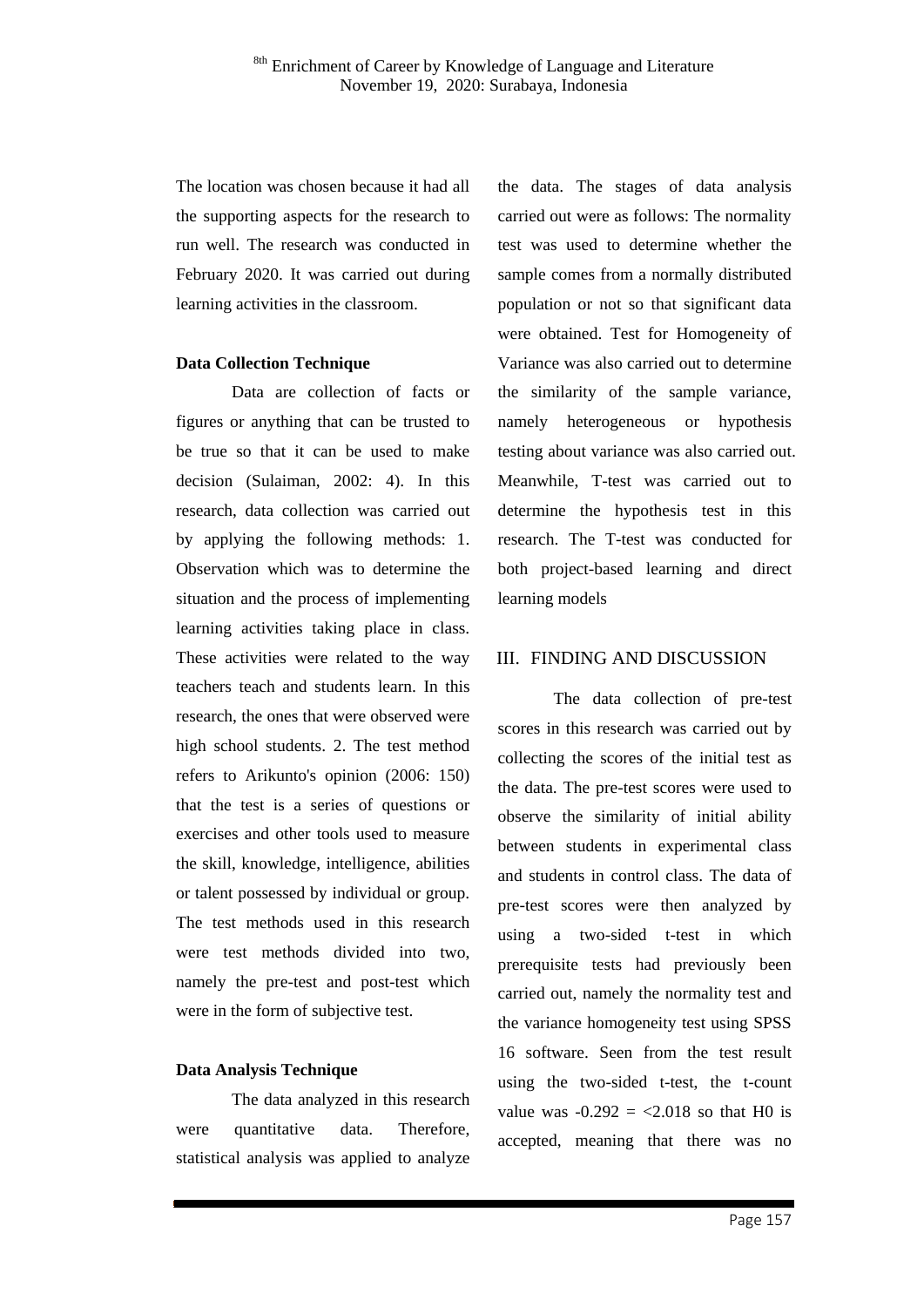The location was chosen because it had all the supporting aspects for the research to run well. The research was conducted in February 2020. It was carried out during learning activities in the classroom.

#### **Data Collection Technique**

Data are collection of facts or figures or anything that can be trusted to be true so that it can be used to make decision (Sulaiman, 2002: 4). In this research, data collection was carried out by applying the following methods: 1. Observation which was to determine the situation and the process of implementing learning activities taking place in class. These activities were related to the way teachers teach and students learn. In this research, the ones that were observed were high school students. 2. The test method refers to Arikunto's opinion (2006: 150) that the test is a series of questions or exercises and other tools used to measure the skill, knowledge, intelligence, abilities or talent possessed by individual or group. The test methods used in this research were test methods divided into two, namely the pre-test and post-test which were in the form of subjective test.

#### **Data Analysis Technique**

The data analyzed in this research were quantitative data. Therefore, statistical analysis was applied to analyze

the data. The stages of data analysis carried out were as follows: The normality test was used to determine whether the sample comes from a normally distributed population or not so that significant data were obtained. Test for Homogeneity of Variance was also carried out to determine the similarity of the sample variance, namely heterogeneous or hypothesis testing about variance was also carried out. Meanwhile, T-test was carried out to determine the hypothesis test in this research. The T-test was conducted for both project-based learning and direct learning models

#### III. FINDING AND DISCUSSION

The data collection of pre-test scores in this research was carried out by collecting the scores of the initial test as the data. The pre-test scores were used to observe the similarity of initial ability between students in experimental class and students in control class. The data of pre-test scores were then analyzed by using a two-sided t-test in which prerequisite tests had previously been carried out, namely the normality test and the variance homogeneity test using SPSS 16 software. Seen from the test result using the two-sided t-test, the t-count value was  $-0.292 = 2.018$  so that H0 is accepted, meaning that there was no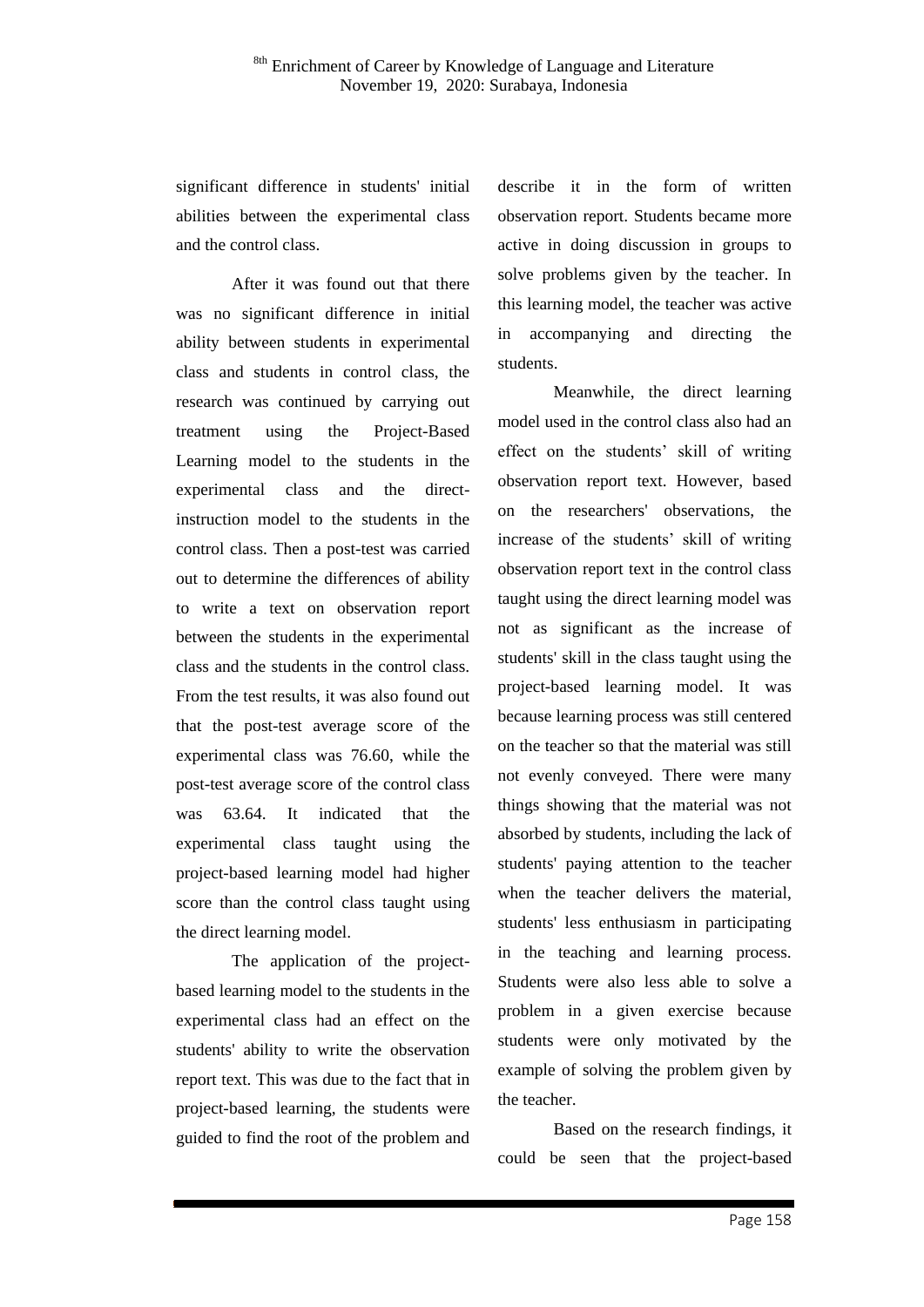significant difference in students' initial abilities between the experimental class and the control class.

After it was found out that there was no significant difference in initial ability between students in experimental class and students in control class, the research was continued by carrying out treatment using the Project-Based Learning model to the students in the experimental class and the directinstruction model to the students in the control class. Then a post-test was carried out to determine the differences of ability to write a text on observation report between the students in the experimental class and the students in the control class. From the test results, it was also found out that the post-test average score of the experimental class was 76.60, while the post-test average score of the control class was 63.64. It indicated that the experimental class taught using the project-based learning model had higher score than the control class taught using the direct learning model.

The application of the projectbased learning model to the students in the experimental class had an effect on the students' ability to write the observation report text. This was due to the fact that in project-based learning, the students were guided to find the root of the problem and describe it in the form of written observation report. Students became more active in doing discussion in groups to solve problems given by the teacher. In this learning model, the teacher was active in accompanying and directing the students.

Meanwhile, the direct learning model used in the control class also had an effect on the students' skill of writing observation report text. However, based on the researchers' observations, the increase of the students' skill of writing observation report text in the control class taught using the direct learning model was not as significant as the increase of students' skill in the class taught using the project-based learning model. It was because learning process was still centered on the teacher so that the material was still not evenly conveyed. There were many things showing that the material was not absorbed by students, including the lack of students' paying attention to the teacher when the teacher delivers the material, students' less enthusiasm in participating in the teaching and learning process. Students were also less able to solve a problem in a given exercise because students were only motivated by the example of solving the problem given by the teacher.

Based on the research findings, it could be seen that the project-based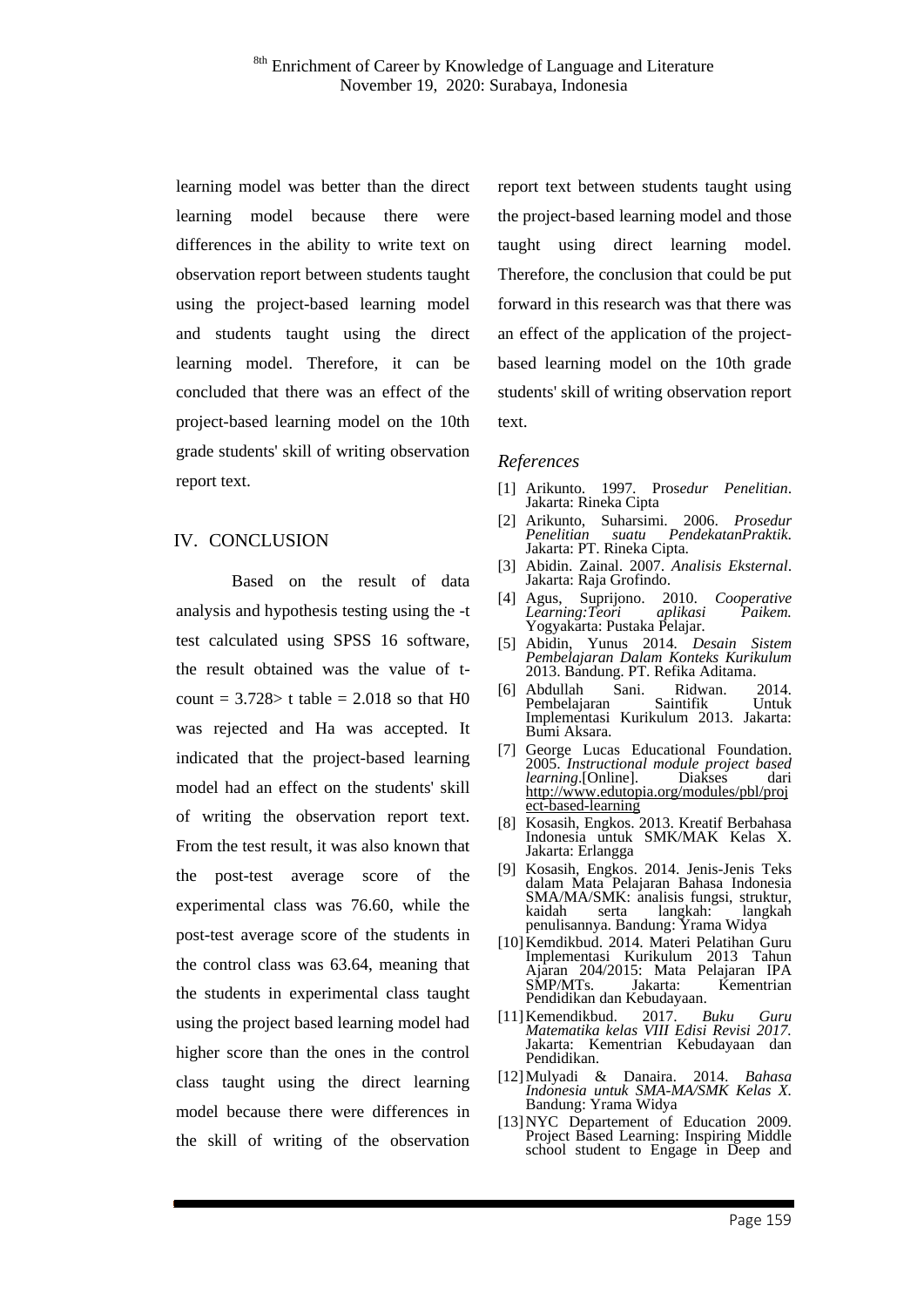learning model was better than the direct learning model because there were differences in the ability to write text on observation report between students taught using the project-based learning model and students taught using the direct learning model. Therefore, it can be concluded that there was an effect of the project-based learning model on the 10th grade students' skill of writing observation report text.

#### IV. CONCLUSION

Based on the result of data analysis and hypothesis testing using the -t test calculated using SPSS 16 software, the result obtained was the value of tcount =  $3.728$  t table =  $2.018$  so that H0 was rejected and Ha was accepted. It indicated that the project-based learning model had an effect on the students' skill of writing the observation report text. From the test result, it was also known that the post-test average score of the experimental class was 76.60, while the post-test average score of the students in the control class was 63.64, meaning that the students in experimental class taught using the project based learning model had higher score than the ones in the control class taught using the direct learning model because there were differences in the skill of writing of the observation

report text between students taught using the project-based learning model and those taught using direct learning model. Therefore, the conclusion that could be put forward in this research was that there was an effect of the application of the projectbased learning model on the 10th grade students' skill of writing observation report text.

#### *References*

- [1] Arikunto. 1997. Pros*edur Penelitian*. Jakarta: Rineka Cipta
- [2] Arikunto, Suharsimi. 2006. *Prosedur Penelitian suatu PendekatanPraktik*. Jakarta: PT. Rineka Cipta.
- [3] Abidin. Zainal. 2007. *Analisis Eksternal*. Jakarta: Raja Grofindo.
- [4] Agus, Suprijono. 2010. *Cooperative Learning:Teori aplikasi Paikem.* Yogyakarta: Pustaka Pelajar.
- [5] Abidin, Yunus 2014*. Desain Sistem Pembelajaran Dalam Konteks Kurikulum* 2013. Bandung. PT. Refika Aditama.<br>Abdullah Sani. Ridwan.
- [6] Abdullah Sani. Ridwan. 2014. Pembelajaran Implementasi Kurikulum 2013. Jakarta: Bumi Aksara.
- [7] George Lucas Educational Foundation. 2005. *Instructional module project based learning*.[Online]. [http://www.edutopia.org/modules/pbl/proj](http://www.edutopia.org/modules/pbl/project-based-learning) [ect-based-learning](http://www.edutopia.org/modules/pbl/project-based-learning)
- [8] Kosasih, Engkos. 2013. Kreatif Berbahasa Indonesia untuk SMK/MAK Kelas X. Jakarta: Erlangga
- [9] Kosasih, Engkos. 2014. Jenis-Jenis Teks dalam Mata Pelajaran Bahasa Indonesia SMA/MA/SMK: analisis fungsi, struktur, kaidah serta langkah: langkah  $langkah:$ penulisannya. Bandung: Yrama Widya
- [10]Kemdikbud. 2014. Materi Pelatihan Guru Implementasi Kurikulum 2013 Tahun Ajaran 204/2015: Mata Pelajaran IPA SMP/MTs. Jakarta: Kementrian Pendidikan dan Kebudayaan.
- [11]Kemendikbud. 2017. *Buku Guru Matematika kelas VIII Edisi Revisi 2017.*  Jakarta: Kementrian Kebudayaan dan Pendidikan.
- [12]Mulyadi & Danaira. 2014. *Bahasa Indonesia untuk SMA-MA/SMK Kelas X.*  Bandung: Yrama Widya
- [13]NYC Departement of Education 2009. Project Based Learning: Inspiring Middle school student to Engage in Deep and